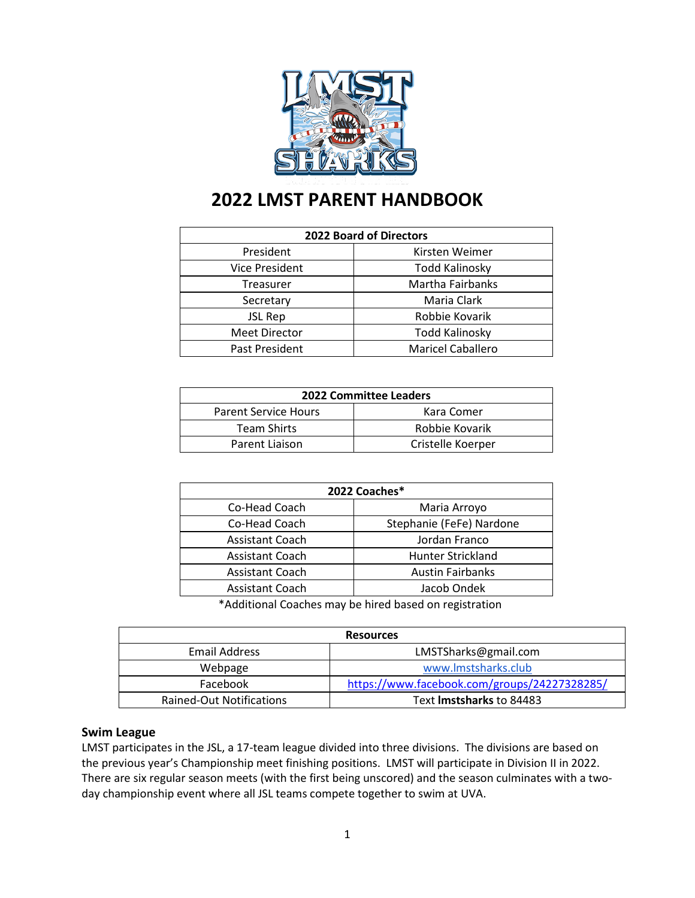

## **2022 LMST PARENT HANDBOOK**

| <b>2022 Board of Directors</b> |                          |  |  |
|--------------------------------|--------------------------|--|--|
| President                      | Kirsten Weimer           |  |  |
| <b>Vice President</b>          | <b>Todd Kalinosky</b>    |  |  |
| Treasurer                      | <b>Martha Fairbanks</b>  |  |  |
| Secretary                      | Maria Clark              |  |  |
| <b>JSL Rep</b>                 | Robbie Kovarik           |  |  |
| <b>Meet Director</b>           | <b>Todd Kalinosky</b>    |  |  |
| Past President                 | <b>Maricel Caballero</b> |  |  |

| <b>2022 Committee Leaders</b>             |                   |  |
|-------------------------------------------|-------------------|--|
| <b>Parent Service Hours</b><br>Kara Comer |                   |  |
| <b>Team Shirts</b>                        | Robbie Kovarik    |  |
| Parent Liaison                            | Cristelle Koerper |  |

| 2022 Coaches*          |                          |  |  |
|------------------------|--------------------------|--|--|
| Co-Head Coach          | Maria Arroyo             |  |  |
| Co-Head Coach          | Stephanie (FeFe) Nardone |  |  |
| Assistant Coach        | Jordan Franco            |  |  |
| <b>Assistant Coach</b> | <b>Hunter Strickland</b> |  |  |
| <b>Assistant Coach</b> | <b>Austin Fairbanks</b>  |  |  |
| <b>Assistant Coach</b> | Jacob Ondek              |  |  |

\*Additional Coaches may be hired based on registration

| <b>Resources</b>                |                                              |  |
|---------------------------------|----------------------------------------------|--|
| Email Address                   | LMSTSharks@gmail.com                         |  |
| Webpage                         | www.lmstsharks.club                          |  |
| Facebook                        | https://www.facebook.com/groups/24227328285/ |  |
| <b>Rained-Out Notifications</b> | Text Imstsharks to 84483                     |  |

#### **Swim League**

LMST participates in the JSL, a 17-team league divided into three divisions. The divisions are based on the previous year's Championship meet finishing positions. LMST will participate in Division II in 2022. There are six regular season meets (with the first being unscored) and the season culminates with a twoday championship event where all JSL teams compete together to swim at UVA.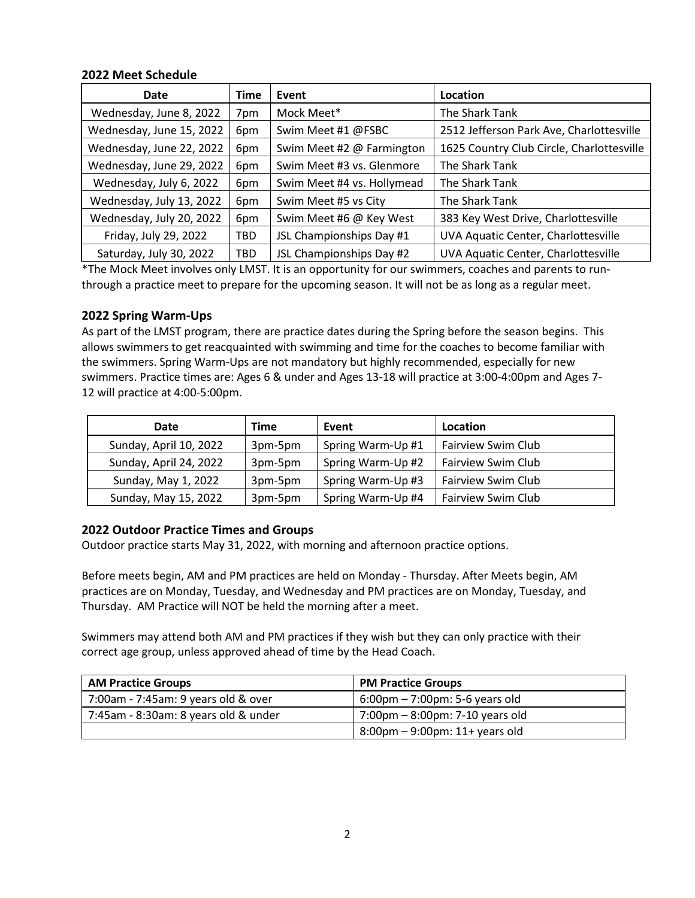#### **2022 Meet Schedule**

| Date                     | Time       | Event                      | Location                                  |
|--------------------------|------------|----------------------------|-------------------------------------------|
| Wednesday, June 8, 2022  | 7pm        | Mock Meet*                 | The Shark Tank                            |
| Wednesday, June 15, 2022 | 6pm        | Swim Meet #1 @FSBC         | 2512 Jefferson Park Ave, Charlottesville  |
| Wednesday, June 22, 2022 | 6pm        | Swim Meet #2 @ Farmington  | 1625 Country Club Circle, Charlottesville |
| Wednesday, June 29, 2022 | 6pm        | Swim Meet #3 vs. Glenmore  | The Shark Tank                            |
| Wednesday, July 6, 2022  | 6pm        | Swim Meet #4 vs. Hollymead | The Shark Tank                            |
| Wednesday, July 13, 2022 | 6pm        | Swim Meet #5 vs City       | The Shark Tank                            |
| Wednesday, July 20, 2022 | 6pm        | Swim Meet #6 @ Key West    | 383 Key West Drive, Charlottesville       |
| Friday, July 29, 2022    | TBD        | JSL Championships Day #1   | UVA Aquatic Center, Charlottesville       |
| Saturday, July 30, 2022  | <b>TBD</b> | JSL Championships Day #2   | UVA Aquatic Center, Charlottesville       |

\*The Mock Meet involves only LMST. It is an opportunity for our swimmers, coaches and parents to runthrough a practice meet to prepare for the upcoming season. It will not be as long as a regular meet.

#### **2022 Spring Warm-Ups**

As part of the LMST program, there are practice dates during the Spring before the season begins. This allows swimmers to get reacquainted with swimming and time for the coaches to become familiar with the swimmers. Spring Warm-Ups are not mandatory but highly recommended, especially for new swimmers. Practice times are: Ages 6 & under and Ages 13-18 will practice at 3:00-4:00pm and Ages 7- 12 will practice at 4:00-5:00pm.

| Date                   | Time    | Event             | Location                  |
|------------------------|---------|-------------------|---------------------------|
| Sunday, April 10, 2022 | 3pm-5pm | Spring Warm-Up #1 | Fairview Swim Club        |
| Sunday, April 24, 2022 | 3pm-5pm | Spring Warm-Up #2 | Fairview Swim Club        |
| Sunday, May 1, 2022    | 3pm-5pm | Spring Warm-Up #3 | Fairview Swim Club        |
| Sunday, May 15, 2022   | 3pm-5pm | Spring Warm-Up #4 | <b>Fairview Swim Club</b> |

#### **2022 Outdoor Practice Times and Groups**

Outdoor practice starts May 31, 2022, with morning and afternoon practice options.

Before meets begin, AM and PM practices are held on Monday - Thursday. After Meets begin, AM practices are on Monday, Tuesday, and Wednesday and PM practices are on Monday, Tuesday, and Thursday. AM Practice will NOT be held the morning after a meet.

Swimmers may attend both AM and PM practices if they wish but they can only practice with their correct age group, unless approved ahead of time by the Head Coach.

| <b>AM Practice Groups</b>            | <b>PM Practice Groups</b>                          |
|--------------------------------------|----------------------------------------------------|
| 7:00am - 7:45am: 9 years old & over  | $6:00 \text{pm} - 7:00 \text{pm}$ : 5-6 years old  |
| 7:45am - 8:30am: 8 years old & under | $7:00 \text{pm} - 8:00 \text{pm}$ : 7-10 years old |
|                                      | $8:00$ pm – 9:00pm: 11+ years old                  |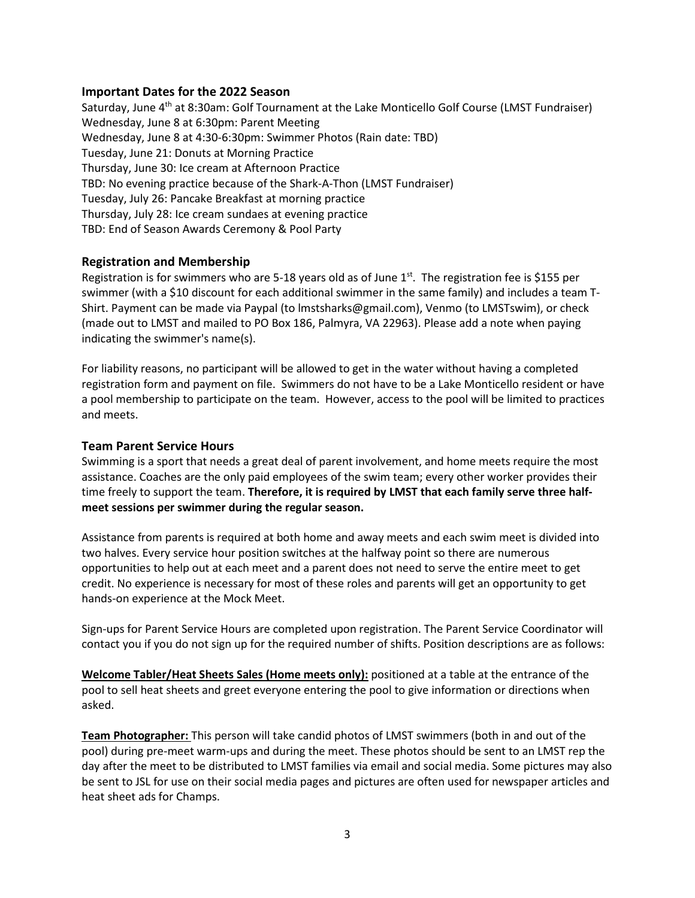#### **Important Dates for the 2022 Season**

Saturday, June 4th at 8:30am: Golf Tournament at the Lake Monticello Golf Course (LMST Fundraiser) Wednesday, June 8 at 6:30pm: Parent Meeting Wednesday, June 8 at 4:30-6:30pm: Swimmer Photos (Rain date: TBD) Tuesday, June 21: Donuts at Morning Practice Thursday, June 30: Ice cream at Afternoon Practice TBD: No evening practice because of the Shark-A-Thon (LMST Fundraiser) Tuesday, July 26: Pancake Breakfast at morning practice Thursday, July 28: Ice cream sundaes at evening practice TBD: End of Season Awards Ceremony & Pool Party

#### **Registration and Membership**

Registration is for swimmers who are 5-18 years old as of June  $1<sup>st</sup>$ . The registration fee is \$155 per swimmer (with a \$10 discount for each additional swimmer in the same family) and includes a team T-Shirt. Payment can be made via Paypal (to lmstsharks@gmail.com), Venmo (to LMSTswim), or check (made out to LMST and mailed to PO Box 186, Palmyra, VA 22963). Please add a note when paying indicating the swimmer's name(s).

For liability reasons, no participant will be allowed to get in the water without having a completed registration form and payment on file. Swimmers do not have to be a Lake Monticello resident or have a pool membership to participate on the team. However, access to the pool will be limited to practices and meets.

#### **Team Parent Service Hours**

Swimming is a sport that needs a great deal of parent involvement, and home meets require the most assistance. Coaches are the only paid employees of the swim team; every other worker provides their time freely to support the team. **Therefore, it is required by LMST that each family serve three halfmeet sessions per swimmer during the regular season.** 

Assistance from parents is required at both home and away meets and each swim meet is divided into two halves. Every service hour position switches at the halfway point so there are numerous opportunities to help out at each meet and a parent does not need to serve the entire meet to get credit. No experience is necessary for most of these roles and parents will get an opportunity to get hands-on experience at the Mock Meet.

Sign-ups for Parent Service Hours are completed upon registration. The Parent Service Coordinator will contact you if you do not sign up for the required number of shifts. Position descriptions are as follows:

**Welcome Tabler/Heat Sheets Sales (Home meets only):** positioned at a table at the entrance of the pool to sell heat sheets and greet everyone entering the pool to give information or directions when asked.

**Team Photographer:** This person will take candid photos of LMST swimmers (both in and out of the pool) during pre-meet warm-ups and during the meet. These photos should be sent to an LMST rep the day after the meet to be distributed to LMST families via email and social media. Some pictures may also be sent to JSL for use on their social media pages and pictures are often used for newspaper articles and heat sheet ads for Champs.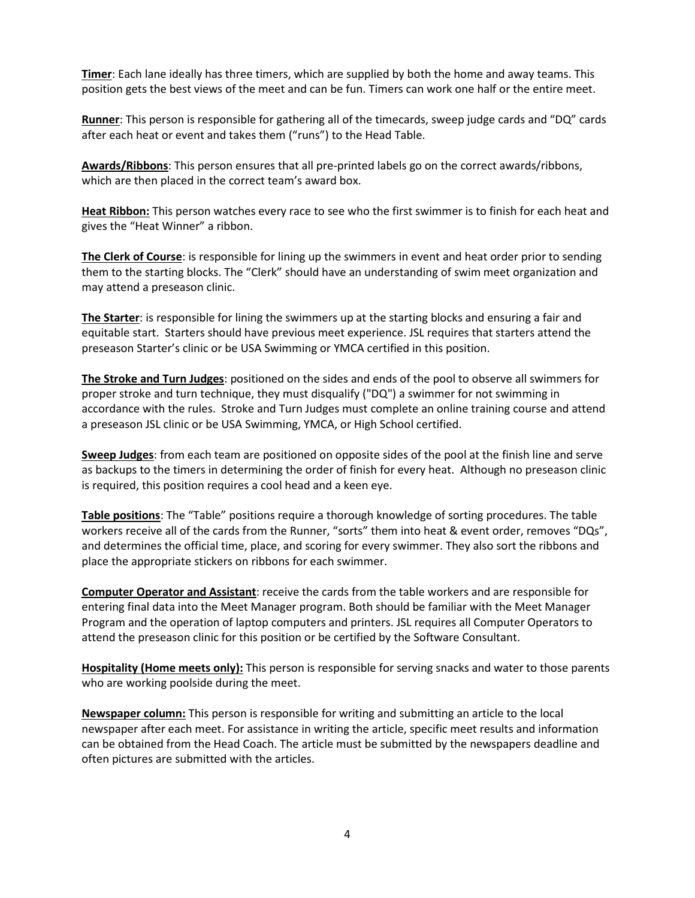**Timer**: Each lane ideally has three timers, which are supplied by both the home and away teams. This position gets the best views of the meet and can be fun. Timers can work one half or the entire meet.

**Runner**: This person is responsible for gathering all of the timecards, sweep judge cards and "DQ" cards after each heat or event and takes them ("runs") to the Head Table.

**Awards/Ribbons**: This person ensures that all pre-printed labels go on the correct awards/ribbons, which are then placed in the correct team's award box.

**Heat Ribbon:** This person watches every race to see who the first swimmer is to finish for each heat and gives the "Heat Winner" a ribbon.

**The Clerk of Course**: is responsible for lining up the swimmers in event and heat order prior to sending them to the starting blocks. The "Clerk" should have an understanding of swim meet organization and may attend a preseason clinic.

**The Starter**: is responsible for lining the swimmers up at the starting blocks and ensuring a fair and equitable start. Starters should have previous meet experience. JSL requires that starters attend the preseason Starter's clinic or be USA Swimming or YMCA certified in this position.

**The Stroke and Turn Judges**: positioned on the sides and ends of the pool to observe all swimmers for proper stroke and turn technique, they must disqualify ("DQ") a swimmer for not swimming in accordance with the rules. Stroke and Turn Judges must complete an online training course and attend a preseason JSL clinic or be USA Swimming, YMCA, or High School certified.

**Sweep Judges**: from each team are positioned on opposite sides of the pool at the finish line and serve as backups to the timers in determining the order of finish for every heat. Although no preseason clinic is required, this position requires a cool head and a keen eye.

**Table positions**: The "Table" positions require a thorough knowledge of sorting procedures. The table workers receive all of the cards from the Runner, "sorts" them into heat & event order, removes "DQs", and determines the official time, place, and scoring for every swimmer. They also sort the ribbons and place the appropriate stickers on ribbons for each swimmer.

**Computer Operator and Assistant**: receive the cards from the table workers and are responsible for entering final data into the Meet Manager program. Both should be familiar with the Meet Manager Program and the operation of laptop computers and printers. JSL requires all Computer Operators to attend the preseason clinic for this position or be certified by the Software Consultant.

**Hospitality (Home meets only):** This person is responsible for serving snacks and water to those parents who are working poolside during the meet.

**Newspaper column:** This person is responsible for writing and submitting an article to the local newspaper after each meet. For assistance in writing the article, specific meet results and information can be obtained from the Head Coach. The article must be submitted by the newspapers deadline and often pictures are submitted with the articles.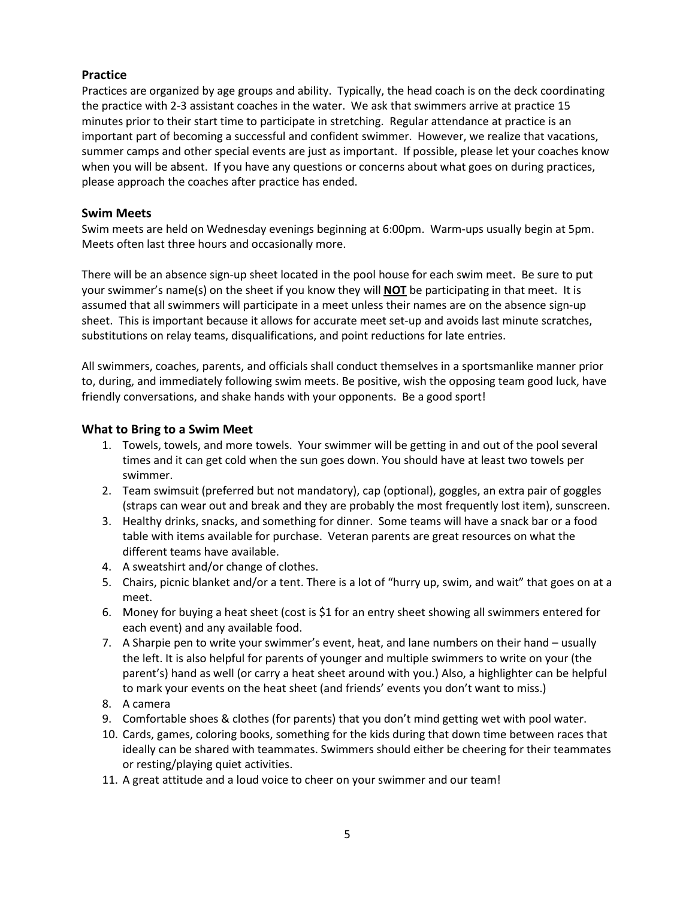#### **Practice**

Practices are organized by age groups and ability. Typically, the head coach is on the deck coordinating the practice with 2-3 assistant coaches in the water. We ask that swimmers arrive at practice 15 minutes prior to their start time to participate in stretching. Regular attendance at practice is an important part of becoming a successful and confident swimmer. However, we realize that vacations, summer camps and other special events are just as important. If possible, please let your coaches know when you will be absent. If you have any questions or concerns about what goes on during practices, please approach the coaches after practice has ended.

#### **Swim Meets**

Swim meets are held on Wednesday evenings beginning at 6:00pm. Warm-ups usually begin at 5pm. Meets often last three hours and occasionally more.

There will be an absence sign-up sheet located in the pool house for each swim meet. Be sure to put your swimmer's name(s) on the sheet if you know they will **NOT** be participating in that meet. It is assumed that all swimmers will participate in a meet unless their names are on the absence sign-up sheet. This is important because it allows for accurate meet set-up and avoids last minute scratches, substitutions on relay teams, disqualifications, and point reductions for late entries.

All swimmers, coaches, parents, and officials shall conduct themselves in a sportsmanlike manner prior to, during, and immediately following swim meets. Be positive, wish the opposing team good luck, have friendly conversations, and shake hands with your opponents. Be a good sport!

#### **What to Bring to a Swim Meet**

- 1. Towels, towels, and more towels. Your swimmer will be getting in and out of the pool several times and it can get cold when the sun goes down. You should have at least two towels per swimmer.
- 2. Team swimsuit (preferred but not mandatory), cap (optional), goggles, an extra pair of goggles (straps can wear out and break and they are probably the most frequently lost item), sunscreen.
- 3. Healthy drinks, snacks, and something for dinner. Some teams will have a snack bar or a food table with items available for purchase. Veteran parents are great resources on what the different teams have available.
- 4. A sweatshirt and/or change of clothes.
- 5. Chairs, picnic blanket and/or a tent. There is a lot of "hurry up, swim, and wait" that goes on at a meet.
- 6. Money for buying a heat sheet (cost is \$1 for an entry sheet showing all swimmers entered for each event) and any available food.
- 7. A Sharpie pen to write your swimmer's event, heat, and lane numbers on their hand usually the left. It is also helpful for parents of younger and multiple swimmers to write on your (the parent's) hand as well (or carry a heat sheet around with you.) Also, a highlighter can be helpful to mark your events on the heat sheet (and friends' events you don't want to miss.)
- 8. A camera
- 9. Comfortable shoes & clothes (for parents) that you don't mind getting wet with pool water.
- 10. Cards, games, coloring books, something for the kids during that down time between races that ideally can be shared with teammates. Swimmers should either be cheering for their teammates or resting/playing quiet activities.
- 11. A great attitude and a loud voice to cheer on your swimmer and our team!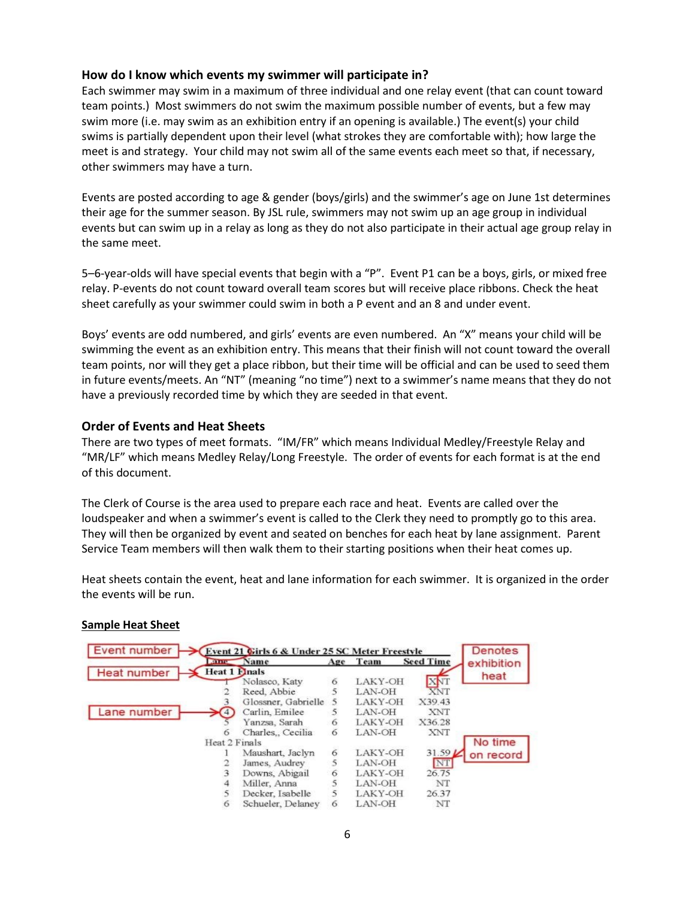#### **How do I know which events my swimmer will participate in?**

Each swimmer may swim in a maximum of three individual and one relay event (that can count toward team points.) Most swimmers do not swim the maximum possible number of events, but a few may swim more (i.e. may swim as an exhibition entry if an opening is available.) The event(s) your child swims is partially dependent upon their level (what strokes they are comfortable with); how large the meet is and strategy. Your child may not swim all of the same events each meet so that, if necessary, other swimmers may have a turn.

Events are posted according to age & gender (boys/girls) and the swimmer's age on June 1st determines their age for the summer season. By JSL rule, swimmers may not swim up an age group in individual events but can swim up in a relay as long as they do not also participate in their actual age group relay in the same meet.

5–6-year-olds will have special events that begin with a "P". Event P1 can be a boys, girls, or mixed free relay. P-events do not count toward overall team scores but will receive place ribbons. Check the heat sheet carefully as your swimmer could swim in both a P event and an 8 and under event.

Boys' events are odd numbered, and girls' events are even numbered. An "X" means your child will be swimming the event as an exhibition entry. This means that their finish will not count toward the overall team points, nor will they get a place ribbon, but their time will be official and can be used to seed them in future events/meets. An "NT" (meaning "no time") next to a swimmer's name means that they do not have a previously recorded time by which they are seeded in that event.

#### **Order of Events and Heat Sheets**

There are two types of meet formats. "IM/FR" which means Individual Medley/Freestyle Relay and "MR/LF" which means Medley Relay/Long Freestyle. The order of events for each format is at the end of this document.

The Clerk of Course is the area used to prepare each race and heat. Events are called over the loudspeaker and when a swimmer's event is called to the Clerk they need to promptly go to this area. They will then be organized by event and seated on benches for each heat by lane assignment. Parent Service Team members will then walk them to their starting positions when their heat comes up.

Heat sheets contain the event, heat and lane information for each swimmer. It is organized in the order the events will be run.

#### **Sample Heat Sheet**

| <b>Event number</b>                        | Event 21 Girls 6 & Under 25 SC Meter Freestyle |     |         |                  | <b>Denotes</b> |
|--------------------------------------------|------------------------------------------------|-----|---------|------------------|----------------|
| <b>ASSISTENT</b>                           | Name                                           | Age | Team    | <b>Seed Time</b> | exhibition     |
| <b>Heat 1 Einals</b><br><b>Heat number</b> |                                                |     |         |                  |                |
|                                            | Nolasco, Katy                                  | 6   | LAKY-OH | XNI              | heat           |
|                                            | Reed, Abbie                                    |     | LAN-OH  | <b>XNT</b>       |                |
|                                            | Glossner, Gabrielle                            |     | LAKY-OH | X39.43           |                |
| Lane number                                | Carlin, Emilee                                 |     | LAN-OH  | XNT              |                |
|                                            | Yanzsa, Sarah                                  | 6   | LAKY-OH | X36.28           |                |
|                                            | Charles Cecilia                                | 6   | LAN-OH  | XNT              |                |
| Heat 2 Finals                              |                                                |     |         |                  | No time        |
|                                            | Maushart, Jaclyn                               | 6   | LAKY-OH | 31.59L           | on record      |
|                                            | James, Audrey                                  |     | LAN-OH  | NT               |                |
|                                            | Downs, Abigail                                 | 6   | LAKY-OH | 26.75            |                |
| 4                                          | Miller, Anna                                   |     | LAN-OH  | NT               |                |
|                                            | Decker, Isabelle                               |     | LAKY-OH | 26.37            |                |
| 6                                          | Schueler, Delanev                              | 6.  | LAN-OH  | NT               |                |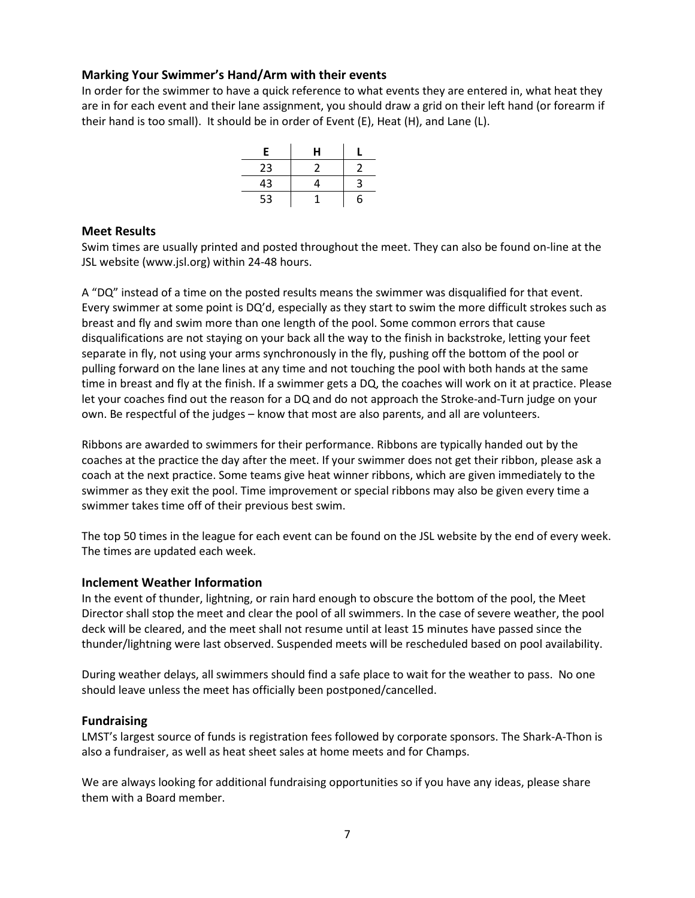#### **Marking Your Swimmer's Hand/Arm with their events**

In order for the swimmer to have a quick reference to what events they are entered in, what heat they are in for each event and their lane assignment, you should draw a grid on their left hand (or forearm if their hand is too small). It should be in order of Event (E), Heat (H), and Lane (L).

| E  | н |   |
|----|---|---|
| 23 | 2 | 2 |
| 43 | 4 | 3 |
| 53 |   | 6 |

#### **Meet Results**

Swim times are usually printed and posted throughout the meet. They can also be found on-line at the JSL website (www.jsl.org) within 24-48 hours.

A "DQ" instead of a time on the posted results means the swimmer was disqualified for that event. Every swimmer at some point is DQ'd, especially as they start to swim the more difficult strokes such as breast and fly and swim more than one length of the pool. Some common errors that cause disqualifications are not staying on your back all the way to the finish in backstroke, letting your feet separate in fly, not using your arms synchronously in the fly, pushing off the bottom of the pool or pulling forward on the lane lines at any time and not touching the pool with both hands at the same time in breast and fly at the finish. If a swimmer gets a DQ, the coaches will work on it at practice. Please let your coaches find out the reason for a DQ and do not approach the Stroke-and-Turn judge on your own. Be respectful of the judges – know that most are also parents, and all are volunteers.

Ribbons are awarded to swimmers for their performance. Ribbons are typically handed out by the coaches at the practice the day after the meet. If your swimmer does not get their ribbon, please ask a coach at the next practice. Some teams give heat winner ribbons, which are given immediately to the swimmer as they exit the pool. Time improvement or special ribbons may also be given every time a swimmer takes time off of their previous best swim.

The top 50 times in the league for each event can be found on the JSL website by the end of every week. The times are updated each week.

#### **Inclement Weather Information**

In the event of thunder, lightning, or rain hard enough to obscure the bottom of the pool, the Meet Director shall stop the meet and clear the pool of all swimmers. In the case of severe weather, the pool deck will be cleared, and the meet shall not resume until at least 15 minutes have passed since the thunder/lightning were last observed. Suspended meets will be rescheduled based on pool availability.

During weather delays, all swimmers should find a safe place to wait for the weather to pass. No one should leave unless the meet has officially been postponed/cancelled.

#### **Fundraising**

LMST's largest source of funds is registration fees followed by corporate sponsors. The Shark-A-Thon is also a fundraiser, as well as heat sheet sales at home meets and for Champs.

We are always looking for additional fundraising opportunities so if you have any ideas, please share them with a Board member.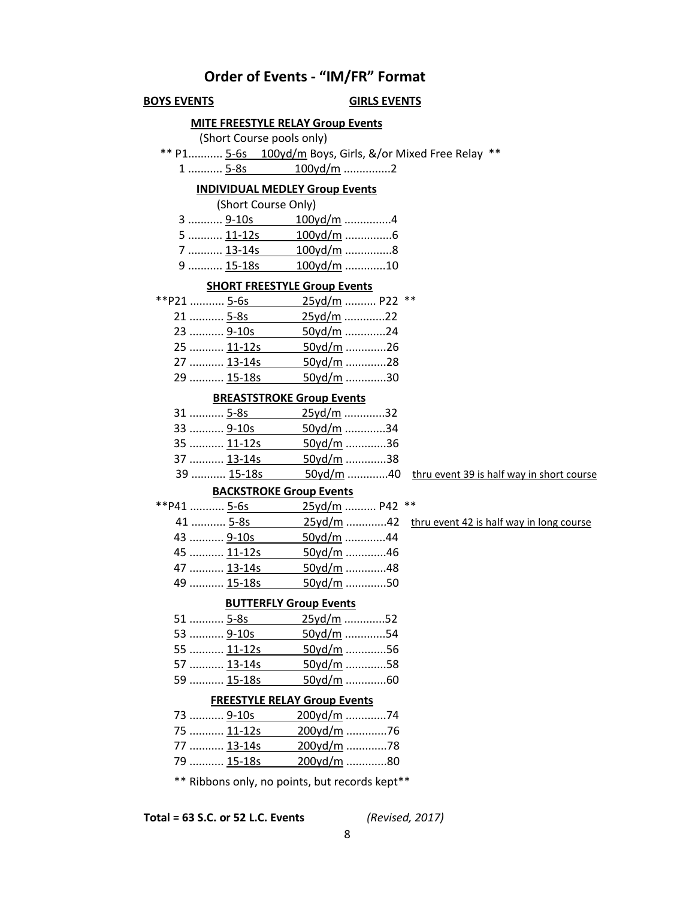## **Order of Events - "IM/FR" Format**

### **BOYS EVENTS GIRLS EVENTS**

#### **MITE FREESTYLE RELAY Group Events**

(Short Course pools only)

- \*\* P1........... 5-6s 100yd/m Boys, Girls, &/or Mixed Free Relay \*\*
	- 1 ........... 5-8s 100yd/m ...............2

#### **INDIVIDUAL MEDLEY Group Events**

(Short Course Only)

| $3$ 9-10s  | 100yd/m 4    |  |
|------------|--------------|--|
| $5$ 11-12s | 100yd/m 6    |  |
| 7  13-14s  | 100yd/m 8    |  |
| 9  15-18s  | $100yd/m$ 10 |  |
|            |              |  |

#### **SHORT FREESTYLE Group Events**

| **P21  5-6s |            | 25yd/m  P22 ** |  |
|-------------|------------|----------------|--|
| 21  5-8s    |            | 25yd/m 22      |  |
|             | 23  9-10s  | 50yd/m 24      |  |
|             | 25  11-12s | 50yd/m 26      |  |
|             | 27  13-14s | 50yd/m 28      |  |
|             | 29  15-18s | 50yd/m 30      |  |
|             |            |                |  |

#### **BREASTSTROKE Group Events**

| 31  5-8s   | 25yd/m 32 |
|------------|-----------|
| 33  9-10s  | 50yd/m 34 |
| 35  11-12s | 50yd/m 36 |
| 37  13-14s | 50yd/m 38 |
| 39  15-18s | 50yd/m 40 |

#### thru event 39 is half way in short course

thru event 42 is half way in long course

#### **BACKSTROKE Group Events**

| 25yd/m  P42 ** | **P41  5-6s |  |
|----------------|-------------|--|
| 25yd/m 42 tl   | 41  5-8s    |  |
| 50yd/m 44      | 43  9-10s   |  |
| 50yd/m 46      | 45  11-12s  |  |
| 50yd/m 48      | 47  13-14s  |  |
| 50yd/m 50      | 49  15-18s  |  |
|                |             |  |

#### **BUTTERFLY Group Events**

| 51  5-8s   | 25yd/m 52 |
|------------|-----------|
| 53  9-10s  | 50yd/m 54 |
| 55  11-12s | 50yd/m 56 |
| 57  13-14s | 50yd/m 58 |
| 59  15-18s | 50yd/m 60 |
|            |           |

#### **FREESTYLE RELAY Group Events**

| 73  9-10s  | 200yd/m 74 |
|------------|------------|
| 75  11-12s | 200yd/m 76 |
| 77  13-14s | 200yd/m 78 |
| 79  15-18s | 200yd/m 80 |

\*\* Ribbons only, no points, but records kept\*\*

**Total = 63 S.C. or 52 L.C. Events** *(Revised, 2017)*